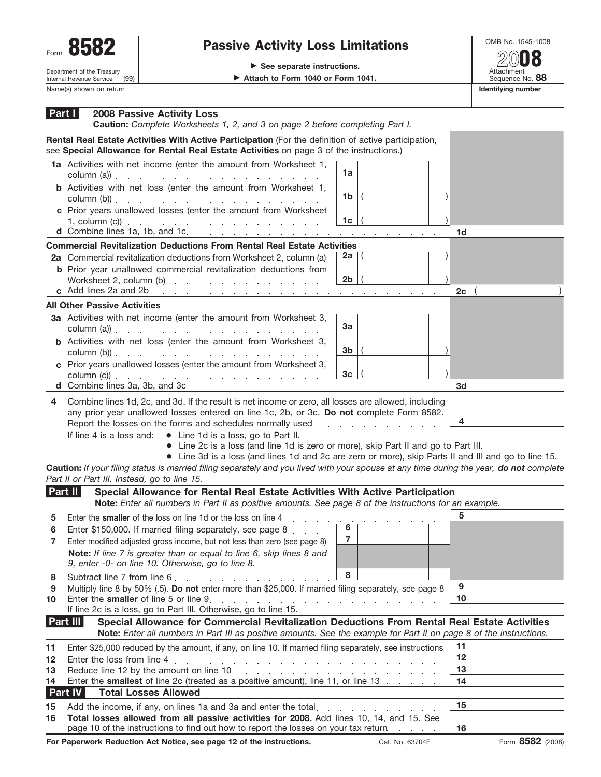

## Form  $\overline{\text{O}}$  **OMB No. 1545-1008**<br>**Passive Activity Loss Limitations**  $\overline{\text{O}}$

▶ Attach to Form 1040 or Form 1041.

Attachment Sequence No. **88** Name(s) shown on return **Identifying number Identifying number Identifying number 20**08

| Part I  | <b>2008 Passive Activity Loss</b><br>Caution: Complete Worksheets 1, 2, and 3 on page 2 before completing Part I.                                                                                                                                                                                                                                                                                                                                                                                                                               |                                     |         |                  |  |
|---------|-------------------------------------------------------------------------------------------------------------------------------------------------------------------------------------------------------------------------------------------------------------------------------------------------------------------------------------------------------------------------------------------------------------------------------------------------------------------------------------------------------------------------------------------------|-------------------------------------|---------|------------------|--|
|         | Rental Real Estate Activities With Active Participation (For the definition of active participation,<br>see Special Allowance for Rental Real Estate Activities on page 3 of the instructions.)                                                                                                                                                                                                                                                                                                                                                 |                                     |         |                  |  |
|         | 1a Activities with net income (enter the amount from Worksheet 1,<br>$\text{column (a)}$ $\ldots$ $\ldots$ $\ldots$ $\ldots$ $\ldots$ $\ldots$                                                                                                                                                                                                                                                                                                                                                                                                  | 1a                                  |         |                  |  |
|         | <b>b</b> Activities with net loss (enter the amount from Worksheet 1,<br>column (b)) $\ldots$ $\ldots$ $\ldots$ $\ldots$ $\ldots$ $\ldots$ $\ldots$ $\ldots$ $\ldots$                                                                                                                                                                                                                                                                                                                                                                           | 1b                                  |         |                  |  |
|         | c Prior years unallowed losses (enter the amount from Worksheet<br>1, column (c)) $\therefore$ $\therefore$ $\therefore$ $\therefore$ $\therefore$ $\therefore$ $\therefore$ $\therefore$ $\therefore$ $\therefore$ $\therefore$ $\therefore$ $\therefore$ $\therefore$ $\therefore$ $\therefore$ $\therefore$ $\therefore$ $\therefore$ $\therefore$ $\therefore$ $\therefore$ $\therefore$ $\therefore$ $\therefore$ $\therefore$ $\therefore$ $\therefore$ $\therefore$ $\therefore$ $\therefore$ $\therefore$ $\therefore$ $\therefore$ $\$ | 1c                                  | 1d      |                  |  |
|         | <b>Commercial Revitalization Deductions From Rental Real Estate Activities</b>                                                                                                                                                                                                                                                                                                                                                                                                                                                                  |                                     |         |                  |  |
|         | 2a Commercial revitalization deductions from Worksheet 2, column (a)                                                                                                                                                                                                                                                                                                                                                                                                                                                                            | 2a   (                              |         |                  |  |
|         | <b>b</b> Prior year unallowed commercial revitalization deductions from                                                                                                                                                                                                                                                                                                                                                                                                                                                                         |                                     |         |                  |  |
|         | Worksheet 2, column (b)                                                                                                                                                                                                                                                                                                                                                                                                                                                                                                                         | 2b<br>the control of the control of | 2c      |                  |  |
|         | <b>All Other Passive Activities</b>                                                                                                                                                                                                                                                                                                                                                                                                                                                                                                             |                                     |         |                  |  |
|         | 3a Activities with net income (enter the amount from Worksheet 3,                                                                                                                                                                                                                                                                                                                                                                                                                                                                               | За                                  |         |                  |  |
|         | <b>b</b> Activities with net loss (enter the amount from Worksheet 3,<br>$\text{column (b)}$ .                                                                                                                                                                                                                                                                                                                                                                                                                                                  | 3b                                  |         |                  |  |
|         | c Prior years unallowed losses (enter the amount from Worksheet 3,                                                                                                                                                                                                                                                                                                                                                                                                                                                                              |                                     |         |                  |  |
|         | $\text{column (c))}$                                                                                                                                                                                                                                                                                                                                                                                                                                                                                                                            | 3 <sub>c</sub>                      |         |                  |  |
|         | d Combine lines 3a, 3b, and 3c.                                                                                                                                                                                                                                                                                                                                                                                                                                                                                                                 |                                     | 3d      |                  |  |
| 4       | Combine lines 1d, 2c, and 3d. If the result is net income or zero, all losses are allowed, including<br>any prior year unallowed losses entered on line 1c, 2b, or 3c. Do not complete Form 8582.<br>Report the losses on the forms and schedules normally used<br>If line 4 is a loss and: $\bullet$ Line 1d is a loss, go to Part II.<br>• Line 2c is a loss (and line 1d is zero or more), skip Part II and go to Part III.<br>• Line 3d is a loss (and lines 1d and 2c are zero or more), skip Parts II and III and go to line 15.          | design and the state of the state   | 4       |                  |  |
|         | Caution: If your filing status is married filing separately and you lived with your spouse at any time during the year, do not complete<br>Part II or Part III. Instead, go to line 15.                                                                                                                                                                                                                                                                                                                                                         |                                     |         |                  |  |
|         | Part II<br>Special Allowance for Rental Real Estate Activities With Active Participation<br>Note: Enter all numbers in Part II as positive amounts. See page 8 of the instructions for an example.                                                                                                                                                                                                                                                                                                                                              |                                     |         |                  |  |
| 5       | Enter the smaller of the loss on line 1d or the loss on line 4<br>and a strain and a strain                                                                                                                                                                                                                                                                                                                                                                                                                                                     |                                     | 5       |                  |  |
| 6       | Enter \$150,000. If married filing separately, see page 8                                                                                                                                                                                                                                                                                                                                                                                                                                                                                       | 6                                   |         |                  |  |
|         | Enter modified adjusted gross income, but not less than zero (see page 8)<br>Note: If line 7 is greater than or equal to line 6, skip lines 8 and<br>9, enter -0- on line 10. Otherwise, go to line 8.                                                                                                                                                                                                                                                                                                                                          | $\overline{7}$                      |         |                  |  |
| 8       | Subtract line 7 from line 6.                                                                                                                                                                                                                                                                                                                                                                                                                                                                                                                    | 8                                   |         |                  |  |
| 9<br>10 | Multiply line 8 by 50% (.5). Do not enter more than \$25,000. If married filing separately, see page 8                                                                                                                                                                                                                                                                                                                                                                                                                                          |                                     | 9<br>10 |                  |  |
|         | If line 2c is a loss, go to Part III. Otherwise, go to line 15.<br>Part III<br>Special Allowance for Commercial Revitalization Deductions From Rental Real Estate Activities                                                                                                                                                                                                                                                                                                                                                                    |                                     |         |                  |  |
|         | Note: Enter all numbers in Part III as positive amounts. See the example for Part II on page 8 of the instructions.                                                                                                                                                                                                                                                                                                                                                                                                                             |                                     |         |                  |  |
| 11      | Enter \$25,000 reduced by the amount, if any, on line 10. If married filing separately, see instructions                                                                                                                                                                                                                                                                                                                                                                                                                                        |                                     | 11      |                  |  |
| 12      | Enter the loss from line 4<br>and the companion of the companion of the companion of the companion                                                                                                                                                                                                                                                                                                                                                                                                                                              |                                     | 12      |                  |  |
| 13      |                                                                                                                                                                                                                                                                                                                                                                                                                                                                                                                                                 |                                     | 13      |                  |  |
| 14      | Enter the smallest of line 2c (treated as a positive amount), line 11, or line 13                                                                                                                                                                                                                                                                                                                                                                                                                                                               |                                     | 14      |                  |  |
|         | Part IV<br><b>Total Losses Allowed</b>                                                                                                                                                                                                                                                                                                                                                                                                                                                                                                          |                                     |         |                  |  |
| 15      | Add the income, if any, on lines 1a and 3a and enter the total.                                                                                                                                                                                                                                                                                                                                                                                                                                                                                 |                                     | 15      |                  |  |
| 16      | Total losses allowed from all passive activities for 2008. Add lines 10, 14, and 15. See<br>page 10 of the instructions to find out how to report the losses on your tax return.                                                                                                                                                                                                                                                                                                                                                                |                                     | 16      |                  |  |
|         | For Paperwork Reduction Act Notice, see page 12 of the instructions.                                                                                                                                                                                                                                                                                                                                                                                                                                                                            | Cat. No. 63704F                     |         | Form 8582 (2008) |  |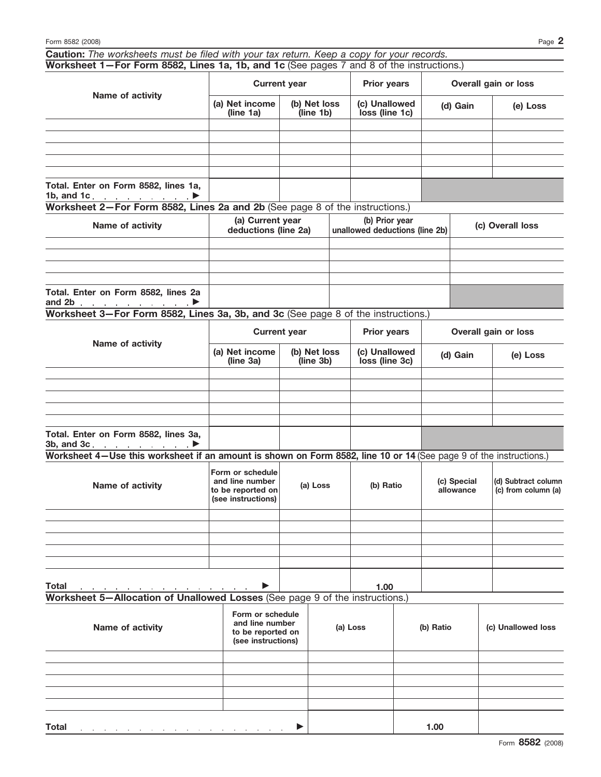|                                                                                                  |  |  | $\bigcap_{i=1}^n$ and $\bigcap_{i=1}^n$ and $\bigcap_{i=1}^n$ |  |  |  |  |
|--------------------------------------------------------------------------------------------------|--|--|---------------------------------------------------------------|--|--|--|--|
| Worksheet 1–For Form 8582, Lines 1a, 1b, and 1c (See pages 7 and 8 of the instructions.)         |  |  |                                                               |  |  |  |  |
| <b>Caution:</b> The worksheets must be filed with your tax return. Keep a copy for your records. |  |  |                                                               |  |  |  |  |

| Name of activity                                                                 |                                          | <b>Current year</b>       |                                                  | <b>Prior years</b>              |                  | Overall gain or loss |
|----------------------------------------------------------------------------------|------------------------------------------|---------------------------|--------------------------------------------------|---------------------------------|------------------|----------------------|
|                                                                                  | (a) Net income<br>(line 1a)              | (b) Net loss<br>(line 1b) |                                                  | (c) Unallowed<br>loss (line 1c) | (d) Gain         | (e) Loss             |
|                                                                                  |                                          |                           |                                                  |                                 |                  |                      |
|                                                                                  |                                          |                           |                                                  |                                 |                  |                      |
| Total. Enter on Form 8582, lines 1a,<br>1b, and 1c. $\qquad \qquad \blacksquare$ |                                          |                           |                                                  |                                 |                  |                      |
| Worksheet 2-For Form 8582, Lines 2a and 2b (See page 8 of the instructions.)     |                                          |                           |                                                  |                                 |                  |                      |
| Name of activity                                                                 | (a) Current year<br>deductions (line 2a) |                           | (b) Prior year<br>unallowed deductions (line 2b) |                                 | (c) Overall loss |                      |

|                                                                                   | deductions (line 2a) | unallowed deductions (line 2b) | $191$ $-101$ $-100$ |  |  |  |  |  |
|-----------------------------------------------------------------------------------|----------------------|--------------------------------|---------------------|--|--|--|--|--|
|                                                                                   |                      |                                |                     |  |  |  |  |  |
|                                                                                   |                      |                                |                     |  |  |  |  |  |
|                                                                                   |                      |                                |                     |  |  |  |  |  |
|                                                                                   |                      |                                |                     |  |  |  |  |  |
| Total. Enter on Form 8582, lines 2a<br>and 2b $\qquad \qquad \blacksquare$        |                      |                                |                     |  |  |  |  |  |
| Warkshoot 2. Fer Ferm 8500, Lines 20, 2h, and 20 (Ceo nege 8 of the instructions) |                      |                                |                     |  |  |  |  |  |

**Worksheet 3—For Form 8582, Lines 3a, 3b, and 3c** (See page 8 of the instructions.)

| Name of activity                                                         | <b>Current year</b>         |                           | <b>Prior years</b>              | Overall gain or loss |          |
|--------------------------------------------------------------------------|-----------------------------|---------------------------|---------------------------------|----------------------|----------|
|                                                                          | (a) Net income<br>(line 3a) | (b) Net loss<br>(line 3b) | (c) Unallowed<br>loss (line 3c) | (d) Gain             | (e) Loss |
|                                                                          |                             |                           |                                 |                      |          |
|                                                                          |                             |                           |                                 |                      |          |
|                                                                          |                             |                           |                                 |                      |          |
|                                                                          |                             |                           |                                 |                      |          |
|                                                                          |                             |                           |                                 |                      |          |
| Total. Enter on Form 8582, lines 3a,<br>3b, and 3c $\blacktriangleright$ |                             |                           |                                 |                      |          |

**Worksheet 4—Use this worksheet if an amount is shown on Form 8582, line 10 or 14** (See page 9 of the instructions.)

| Name of activity | Form or schedule<br>and line number<br>to be reported on<br>(see instructions) | (a) Loss | (b) Ratio | (c) Special<br>allowance | (d) Subtract column<br>$\overrightarrow{c}$ (c) from column (a) |
|------------------|--------------------------------------------------------------------------------|----------|-----------|--------------------------|-----------------------------------------------------------------|
|                  |                                                                                |          |           |                          |                                                                 |
|                  |                                                                                |          |           |                          |                                                                 |
|                  |                                                                                |          |           |                          |                                                                 |
|                  |                                                                                |          |           |                          |                                                                 |
|                  |                                                                                |          |           |                          |                                                                 |
|                  |                                                                                |          |           |                          |                                                                 |

**Total** © **1.00**

**Worksheet 5—Allocation of Unallowed Losses** (See page 9 of the instructions.)

| Name of activity                                                                         | Form or schedule<br>and line number<br>to be reported on<br>(see instructions) | (a) Loss | (b) Ratio | (c) Unallowed loss |
|------------------------------------------------------------------------------------------|--------------------------------------------------------------------------------|----------|-----------|--------------------|
|                                                                                          |                                                                                |          |           |                    |
|                                                                                          |                                                                                |          |           |                    |
|                                                                                          |                                                                                |          |           |                    |
|                                                                                          |                                                                                |          |           |                    |
|                                                                                          |                                                                                |          |           |                    |
| <b>Total</b><br>and a second contract of the contract of the contract of the contract of |                                                                                |          | 1.00      |                    |